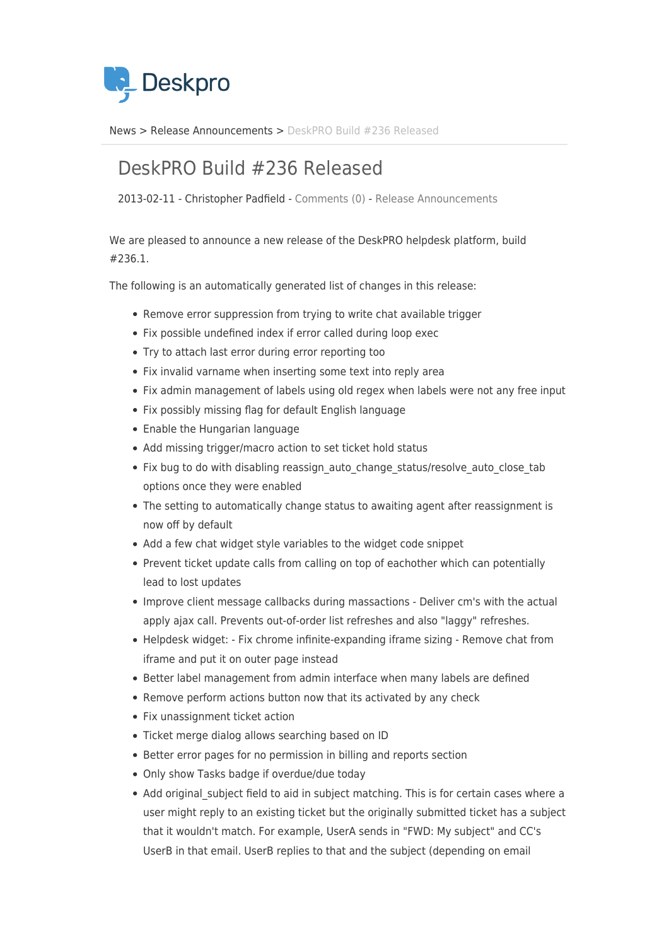

[News](https://support.deskpro.com/da/news) > [Release Announcements](https://support.deskpro.com/da/news/release-announcements) > [DeskPRO Build #236 Released](https://support.deskpro.com/da/news/posts/deskpro-build-236-released-2)

## DeskPRO Build #236 Released

2013-02-11 - Christopher Padfield - [Comments \(0\)](#page--1-0) - [Release Announcements](https://support.deskpro.com/da/news/release-announcements)

We are pleased to announce a new release of the DeskPRO helpdesk platform, build #236.1.

The following is an automatically generated list of changes in this release:

- Remove error suppression from trying to write chat available trigger
- Fix possible undefined index if error called during loop exec
- Try to attach last error during error reporting too
- Fix invalid varname when inserting some text into reply area
- Fix admin management of labels using old regex when labels were not any free input
- Fix possibly missing flag for default English language
- Enable the Hungarian language
- Add missing trigger/macro action to set ticket hold status
- Fix bug to do with disabling reassign auto change status/resolve auto close tab options once they were enabled
- The setting to automatically change status to awaiting agent after reassignment is now off by default
- Add a few chat widget style variables to the widget code snippet
- Prevent ticket update calls from calling on top of eachother which can potentially lead to lost updates
- Improve client message callbacks during massactions Deliver cm's with the actual apply ajax call. Prevents out-of-order list refreshes and also "laggy" refreshes.
- Helpdesk widget: Fix chrome infinite-expanding iframe sizing Remove chat from iframe and put it on outer page instead
- Better label management from admin interface when many labels are defined
- Remove perform actions button now that its activated by any check
- Fix unassignment ticket action
- Ticket merge dialog allows searching based on ID
- Better error pages for no permission in billing and reports section
- Only show Tasks badge if overdue/due today
- Add original subject field to aid in subject matching. This is for certain cases where a user might reply to an existing ticket but the originally submitted ticket has a subject that it wouldn't match. For example, UserA sends in "FWD: My subject" and CC's UserB in that email. UserB replies to that and the subject (depending on email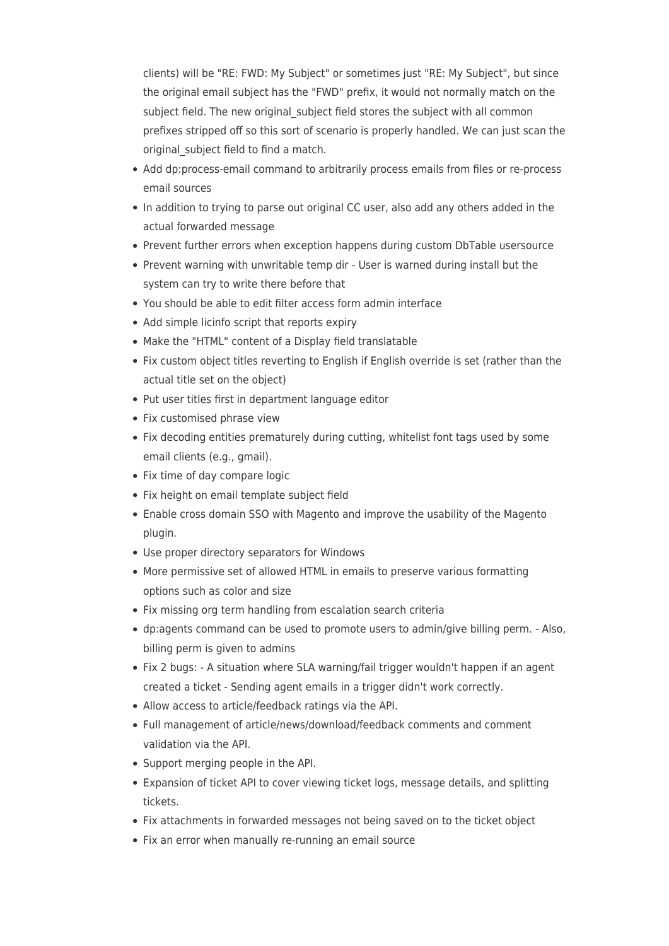clients) will be "RE: FWD: My Subject" or sometimes just "RE: My Subject", but since the original email subject has the "FWD" prefix, it would not normally match on the subject field. The new original subject field stores the subject with all common prefixes stripped off so this sort of scenario is properly handled. We can just scan the original\_subject field to find a match.

- Add dp:process-email command to arbitrarily process emails from files or re-process email sources
- In addition to trying to parse out original CC user, also add any others added in the actual forwarded message
- Prevent further errors when exception happens during custom DbTable usersource
- Prevent warning with unwritable temp dir User is warned during install but the system can try to write there before that
- You should be able to edit filter access form admin interface
- Add simple licinfo script that reports expiry
- Make the "HTML" content of a Display field translatable
- Fix custom object titles reverting to English if English override is set (rather than the actual title set on the object)
- Put user titles first in department language editor
- Fix customised phrase view
- Fix decoding entities prematurely during cutting, whitelist font tags used by some email clients (e.g., gmail).
- Fix time of day compare logic
- Fix height on email template subject field
- Enable cross domain SSO with Magento and improve the usability of the Magento plugin.
- Use proper directory separators for Windows
- More permissive set of allowed HTML in emails to preserve various formatting options such as color and size
- Fix missing org term handling from escalation search criteria
- dp:agents command can be used to promote users to admin/give billing perm. Also, billing perm is given to admins
- Fix 2 bugs: A situation where SLA warning/fail trigger wouldn't happen if an agent created a ticket - Sending agent emails in a trigger didn't work correctly.
- Allow access to article/feedback ratings via the API.
- Full management of article/news/download/feedback comments and comment validation via the API.
- Support merging people in the API.
- Expansion of ticket API to cover viewing ticket logs, message details, and splitting tickets.
- Fix attachments in forwarded messages not being saved on to the ticket object
- Fix an error when manually re-running an email source